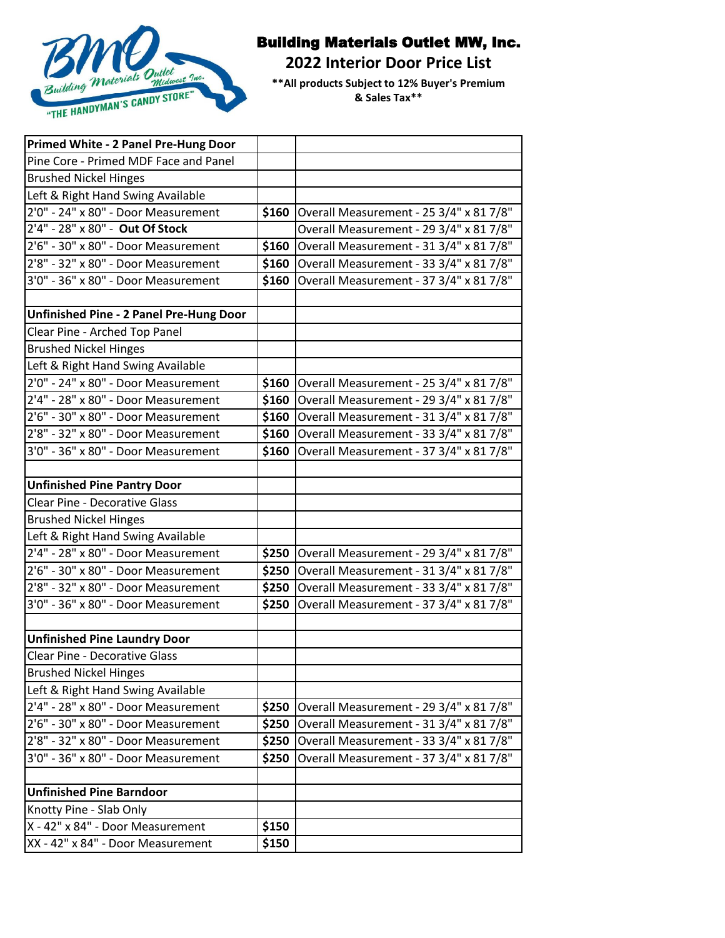

## Building Materials Outlet MW, Inc.

**2022 Interior Door Price List** 

**\*\*All products Subject to 12% Buyer's Premium & Sales Tax\*\***

| Primed White - 2 Panel Pre-Hung Door           |       |                                         |
|------------------------------------------------|-------|-----------------------------------------|
| Pine Core - Primed MDF Face and Panel          |       |                                         |
| <b>Brushed Nickel Hinges</b>                   |       |                                         |
| Left & Right Hand Swing Available              |       |                                         |
| $2'0''$ - 24" x 80" - Door Measurement         | \$160 | Overall Measurement - 25 3/4" x 81 7/8" |
| 2'4" - 28" x 80" - Out Of Stock                |       | Overall Measurement - 29 3/4" x 81 7/8" |
| 2'6" - 30" x 80" - Door Measurement            | \$160 | Overall Measurement - 31 3/4" x 81 7/8" |
| 2'8" - 32" x 80" - Door Measurement            | \$160 | Overall Measurement - 33 3/4" x 81 7/8" |
| 3'0" - 36" x 80" - Door Measurement            | \$160 | Overall Measurement - 37 3/4" x 81 7/8" |
|                                                |       |                                         |
| <b>Unfinished Pine - 2 Panel Pre-Hung Door</b> |       |                                         |
| Clear Pine - Arched Top Panel                  |       |                                         |
| <b>Brushed Nickel Hinges</b>                   |       |                                         |
| Left & Right Hand Swing Available              |       |                                         |
| 2'0" - 24" x 80" - Door Measurement            | \$160 | Overall Measurement - 25 3/4" x 81 7/8" |
| 2'4" - 28" x 80" - Door Measurement            | \$160 | Overall Measurement - 29 3/4" x 81 7/8" |
| 2'6" - 30" x 80" - Door Measurement            | \$160 | Overall Measurement - 31 3/4" x 81 7/8" |
| 2'8" - 32" x 80" - Door Measurement            | \$160 | Overall Measurement - 33 3/4" x 81 7/8" |
| 3'0" - 36" x 80" - Door Measurement            | \$160 | Overall Measurement - 37 3/4" x 81 7/8" |
|                                                |       |                                         |
| <b>Unfinished Pine Pantry Door</b>             |       |                                         |
| <b>Clear Pine - Decorative Glass</b>           |       |                                         |
| <b>Brushed Nickel Hinges</b>                   |       |                                         |
| Left & Right Hand Swing Available              |       |                                         |
| 2'4" - 28" x 80" - Door Measurement            | \$250 | Overall Measurement - 29 3/4" x 81 7/8" |
| 2'6" - 30" x 80" - Door Measurement            | \$250 | Overall Measurement - 31 3/4" x 81 7/8" |
| 2'8" - 32" x 80" - Door Measurement            | \$250 | Overall Measurement - 33 3/4" x 81 7/8" |
| 3'0" - 36" x 80" - Door Measurement            | \$250 | Overall Measurement - 37 3/4" x 81 7/8" |
|                                                |       |                                         |
| <b>Unfinished Pine Laundry Door</b>            |       |                                         |
| <b>Clear Pine - Decorative Glass</b>           |       |                                         |
| <b>Brushed Nickel Hinges</b>                   |       |                                         |
| Left & Right Hand Swing Available              |       |                                         |
| 2'4" - 28" x 80" - Door Measurement            | \$250 | Overall Measurement - 29 3/4" x 81 7/8" |
| 2'6" - 30" x 80" - Door Measurement            | \$250 | Overall Measurement - 31 3/4" x 81 7/8" |
| $2'8'' - 32''$ x 80" - Door Measurement        | \$250 | Overall Measurement - 33 3/4" x 81 7/8" |
| 3'0" - 36" x 80" - Door Measurement            | \$250 | Overall Measurement - 37 3/4" x 81 7/8" |
|                                                |       |                                         |
| <b>Unfinished Pine Barndoor</b>                |       |                                         |
| Knotty Pine - Slab Only                        |       |                                         |
| X - 42" x 84" - Door Measurement               | \$150 |                                         |
| XX - 42" x 84" - Door Measurement              | \$150 |                                         |